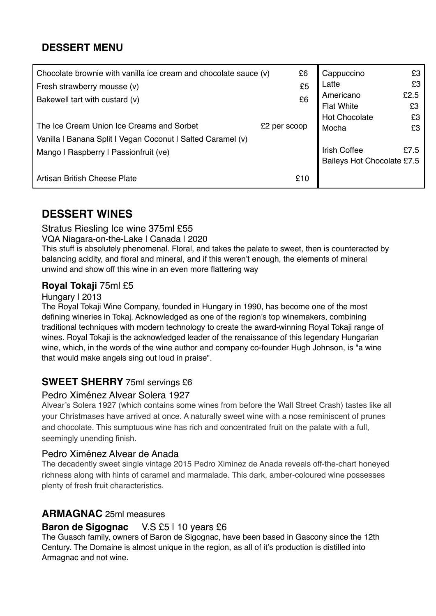# **DESSERT MENU**

| Chocolate brownie with vanilla ice cream and chocolate sauce (v) | £6           | Cappuccino                 | £З   |
|------------------------------------------------------------------|--------------|----------------------------|------|
| Fresh strawberry mousse (v)                                      | £5           | Latte                      | £З   |
| Bakewell tart with custard (v)                                   | £6           | Americano                  | £2.5 |
|                                                                  |              | <b>Flat White</b>          | £3   |
|                                                                  |              | <b>Hot Chocolate</b>       | £3   |
| The Ice Cream Union Ice Creams and Sorbet                        | £2 per scoop | Mocha                      | £З   |
| Vanilla I Banana Split I Vegan Coconut I Salted Caramel (v)      |              |                            |      |
| Mango I Raspberry I Passionfruit (ve)                            |              | <b>Irish Coffee</b>        | £7.5 |
|                                                                  |              | Baileys Hot Chocolate £7.5 |      |
| Artisan British Cheese Plate                                     | £10          |                            |      |

# **DESSERT WINES**

Stratus Riesling Ice wine 375ml £55

VQA Niagara-on-the-Lake | Canada | 2020

This stuff is absolutely phenomenal. Floral, and takes the palate to sweet, then is counteracted by balancing acidity, and floral and mineral, and if this weren't enough, the elements of mineral unwind and show off this wine in an even more flattering way

### **Royal Tokaji** 75ml £5

#### Hungary | 2013

The Royal Tokaji Wine Company, founded in Hungary in 1990, has become one of the most defining wineries in Tokaj. Acknowledged as one of the region's top winemakers, combining traditional techniques with modern technology to create the award-winning Royal Tokaji range of wines. Royal Tokaji is the acknowledged leader of the renaissance of this legendary Hungarian wine, which, in the words of the wine author and company co-founder Hugh Johnson, is "a wine that would make angels sing out loud in praise".

# **SWEET SHERRY** 75ml servings £6

### Pedro Ximénez Alvear Solera 1927

Alvear's Solera 1927 (which contains some wines from before the Wall Street Crash) tastes like all your Christmases have arrived at once. A naturally sweet wine with a nose reminiscent of prunes and chocolate. This sumptuous wine has rich and concentrated fruit on the palate with a full, seemingly unending finish.

### Pedro Ximénez Alvear de Anada

The decadently sweet single vintage 2015 Pedro Ximinez de Anada reveals off-the-chart honeyed richness along with hints of caramel and marmalade. This dark, amber-coloured wine possesses plenty of fresh fruit characteristics.

## **ARMAGNAC** 25ml measures

### **Baron de Sigognac** V.S £5 | 10 years £6

The Guasch family, owners of Baron de Sigognac, have been based in Gascony since the 12th Century. The Domaine is almost unique in the region, as all of it's production is distilled into Armagnac and not wine.